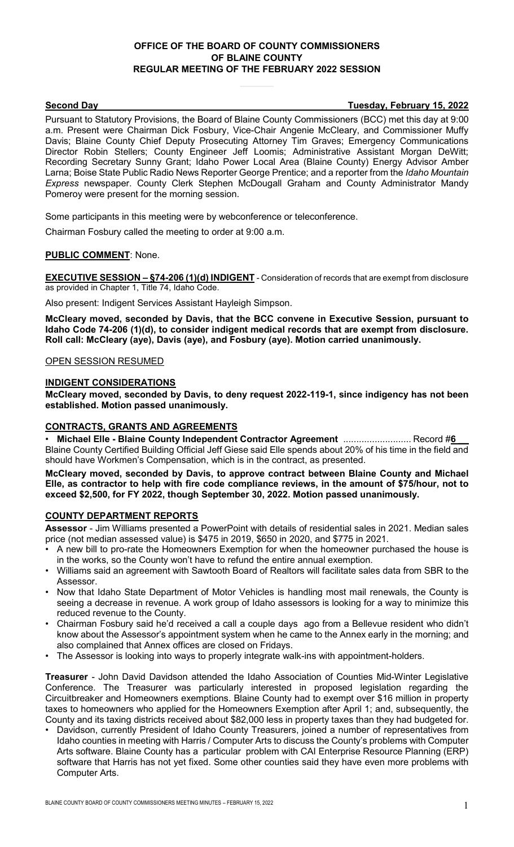## **OFFICE OF THE BOARD OF COUNTY COMMISSIONERS OF BLAINE COUNTY REGULAR MEETING OF THE FEBRUARY 2022 SESSION**

#### **Second Day Tuesday, February 15, 2022**

Pursuant to Statutory Provisions, the Board of Blaine County Commissioners (BCC) met this day at 9:00 a.m. Present were Chairman Dick Fosbury, Vice-Chair Angenie McCleary, and Commissioner Muffy Davis; Blaine County Chief Deputy Prosecuting Attorney Tim Graves; Emergency Communications Director Robin Stellers; County Engineer Jeff Loomis; Administrative Assistant Morgan DeWitt; Recording Secretary Sunny Grant; Idaho Power Local Area (Blaine County) Energy Advisor Amber Larna; Boise State Public Radio News Reporter George Prentice; and a reporter from the *Idaho Mountain Express* newspaper. County Clerk Stephen McDougall Graham and County Administrator Mandy Pomeroy were present for the morning session.

Some participants in this meeting were by webconference or teleconference.

Chairman Fosbury called the meeting to order at 9:00 a.m.

#### **PUBLIC COMMENT**: None.

**EXECUTIVE SESSION – §74-206 (1)(d) INDIGENT** - Consideration of records that are exempt from disclosure as provided in Chapter 1, Title 74, Idaho Code.

Also present: Indigent Services Assistant Hayleigh Simpson.

**McCleary moved, seconded by Davis, that the BCC convene in Executive Session, pursuant to Idaho Code 74-206 (1)(d), to consider indigent medical records that are exempt from disclosure. Roll call: McCleary (aye), Davis (aye), and Fosbury (aye). Motion carried unanimously.**

#### OPEN SESSION RESUMED

#### **INDIGENT CONSIDERATIONS**

**McCleary moved, seconded by Davis, to deny request 2022-119-1, since indigency has not been established. Motion passed unanimously.**

## **CONTRACTS, GRANTS AND AGREEMENTS**

**Michael Elle - Blaine County Independent Contractor Agreement** ............................... Record #6 Blaine County Certified Building Official Jeff Giese said Elle spends about 20% of his time in the field and should have Workmen's Compensation, which is in the contract, as presented.

**McCleary moved, seconded by Davis, to approve contract between Blaine County and Michael Elle, as contractor to help with fire code compliance reviews, in the amount of \$75/hour, not to exceed \$2,500, for FY 2022, though September 30, 2022. Motion passed unanimously.**

## **COUNTY DEPARTMENT REPORTS**

**Assessor** - Jim Williams presented a PowerPoint with details of residential sales in 2021. Median sales price (not median assessed value) is \$475 in 2019, \$650 in 2020, and \$775 in 2021.

- A new bill to pro-rate the Homeowners Exemption for when the homeowner purchased the house is in the works, so the County won't have to refund the entire annual exemption.
- Williams said an agreement with Sawtooth Board of Realtors will facilitate sales data from SBR to the Assessor.
- Now that Idaho State Department of Motor Vehicles is handling most mail renewals, the County is seeing a decrease in revenue. A work group of Idaho assessors is looking for a way to minimize this reduced revenue to the County.
- Chairman Fosbury said he'd received a call a couple days ago from a Bellevue resident who didn't know about the Assessor's appointment system when he came to the Annex early in the morning; and also complained that Annex offices are closed on Fridays.
- The Assessor is looking into ways to properly integrate walk-ins with appointment-holders.

**Treasurer** - John David Davidson attended the Idaho Association of Counties Mid-Winter Legislative Conference. The Treasurer was particularly interested in proposed legislation regarding the Circuitbreaker and Homeowners exemptions. Blaine County had to exempt over \$16 million in property taxes to homeowners who applied for the Homeowners Exemption after April 1; and, subsequently, the County and its taxing districts received about \$82,000 less in property taxes than they had budgeted for.

• Davidson, currently President of Idaho County Treasurers, joined a number of representatives from Idaho counties in meeting with Harris / Computer Arts to discuss the County's problems with Computer Arts software. Blaine County has a particular problem with CAI Enterprise Resource Planning (ERP) software that Harris has not yet fixed. Some other counties said they have even more problems with Computer Arts.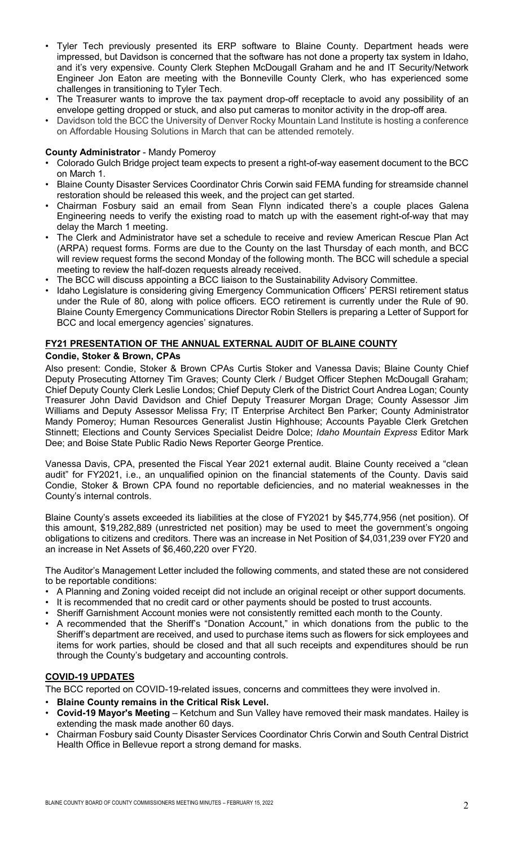- Tyler Tech previously presented its ERP software to Blaine County. Department heads were impressed, but Davidson is concerned that the software has not done a property tax system in Idaho, and it's very expensive. County Clerk Stephen McDougall Graham and he and IT Security/Network Engineer Jon Eaton are meeting with the Bonneville County Clerk, who has experienced some challenges in transitioning to Tyler Tech.
- The Treasurer wants to improve the tax payment drop-off receptacle to avoid any possibility of an envelope getting dropped or stuck, and also put cameras to monitor activity in the drop-off area.
- Davidson told the BCC the University of Denver Rocky Mountain Land Institute is hosting a conference on Affordable Housing Solutions in March that can be attended remotely.

#### **County Administrator** - Mandy Pomeroy

- Colorado Gulch Bridge project team expects to present a right-of-way easement document to the BCC on March 1.
- Blaine County Disaster Services Coordinator Chris Corwin said FEMA funding for streamside channel restoration should be released this week, and the project can get started.
- Chairman Fosbury said an email from Sean Flynn indicated there's a couple places Galena Engineering needs to verify the existing road to match up with the easement right-of-way that may delay the March 1 meeting.
- The Clerk and Administrator have set a schedule to receive and review American Rescue Plan Act (ARPA) request forms. Forms are due to the County on the last Thursday of each month, and BCC will review request forms the second Monday of the following month. The BCC will schedule a special meeting to review the half-dozen requests already received.
- The BCC will discuss appointing a BCC liaison to the Sustainability Advisory Committee.
- Idaho Legislature is considering giving Emergency Communication Officers' PERSI retirement status under the Rule of 80, along with police officers. ECO retirement is currently under the Rule of 90. Blaine County Emergency Communications Director Robin Stellers is preparing a Letter of Support for BCC and local emergency agencies' signatures.

# **FY21 PRESENTATION OF THE ANNUAL EXTERNAL AUDIT OF BLAINE COUNTY**

## **Condie, Stoker & Brown, CPAs**

Also present: Condie, Stoker & Brown CPAs Curtis Stoker and Vanessa Davis; Blaine County Chief Deputy Prosecuting Attorney Tim Graves; County Clerk / Budget Officer Stephen McDougall Graham; Chief Deputy County Clerk Leslie Londos; Chief Deputy Clerk of the District Court Andrea Logan; County Treasurer John David Davidson and Chief Deputy Treasurer Morgan Drage; County Assessor Jim Williams and Deputy Assessor Melissa Fry; IT Enterprise Architect Ben Parker; County Administrator Mandy Pomeroy; Human Resources Generalist Justin Highhouse; Accounts Payable Clerk Gretchen Stinnett; Elections and County Services Specialist Deidre Dolce; *Idaho Mountain Express* Editor Mark Dee; and Boise State Public Radio News Reporter George Prentice.

Vanessa Davis, CPA, presented the Fiscal Year 2021 external audit. Blaine County received a "clean audit" for FY2021, i.e., an unqualified opinion on the financial statements of the County. Davis said Condie, Stoker & Brown CPA found no reportable deficiencies, and no material weaknesses in the County's internal controls.

Blaine County's assets exceeded its liabilities at the close of FY2021 by \$45,774,956 (net position). Of this amount, \$19,282,889 (unrestricted net position) may be used to meet the government's ongoing obligations to citizens and creditors. There was an increase in Net Position of \$4,031,239 over FY20 and an increase in Net Assets of \$6,460,220 over FY20.

The Auditor's Management Letter included the following comments, and stated these are not considered to be reportable conditions:

- A Planning and Zoning voided receipt did not include an original receipt or other support documents.
- It is recommended that no credit card or other payments should be posted to trust accounts.
- Sheriff Garnishment Account monies were not consistently remitted each month to the County.
- A recommended that the Sheriff's "Donation Account," in which donations from the public to the Sheriff's department are received, and used to purchase items such as flowers for sick employees and items for work parties, should be closed and that all such receipts and expenditures should be run through the County's budgetary and accounting controls.

## **COVID-19 UPDATES**

The BCC reported on COVID-19-related issues, concerns and committees they were involved in.

- **Blaine County remains in the Critical Risk Level.**
- **Covid-19 Mayor's Meeting** Ketchum and Sun Valley have removed their mask mandates. Hailey is extending the mask made another 60 days.
- Chairman Fosbury said County Disaster Services Coordinator Chris Corwin and South Central District Health Office in Bellevue report a strong demand for masks.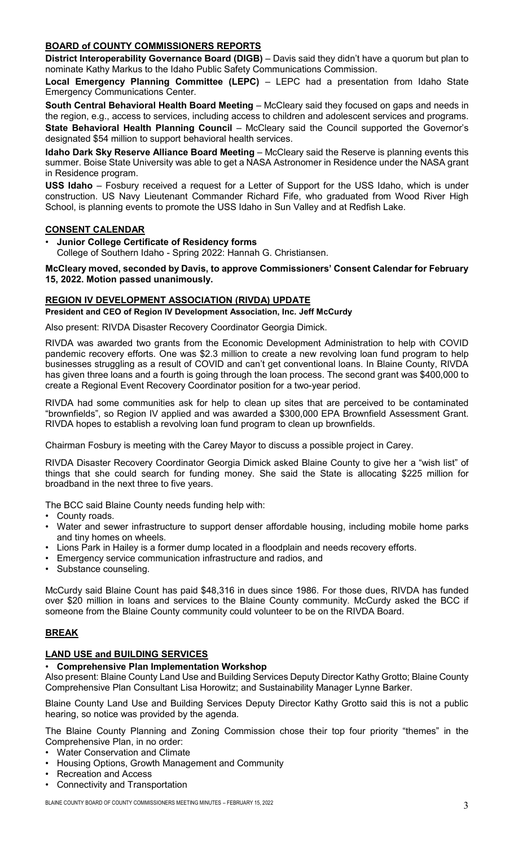## **BOARD of COUNTY COMMISSIONERS REPORTS**

**District Interoperability Governance Board (DIGB)** – Davis said they didn't have a quorum but plan to nominate Kathy Markus to the Idaho Public Safety Communications Commission.

**Local Emergency Planning Committee (LEPC)** – LEPC had a presentation from Idaho State Emergency Communications Center.

**South Central Behavioral Health Board Meeting** – McCleary said they focused on gaps and needs in the region, e.g., access to services, including access to children and adolescent services and programs.

**State Behavioral Health Planning Council** – McCleary said the Council supported the Governor's designated \$54 million to support behavioral health services.

**Idaho Dark Sky Reserve Alliance Board Meeting** – McCleary said the Reserve is planning events this summer. Boise State University was able to get a NASA Astronomer in Residence under the NASA grant in Residence program.

**USS Idaho** – Fosbury received a request for a Letter of Support for the USS Idaho, which is under construction. US Navy Lieutenant Commander Richard Fife, who graduated from Wood River High School, is planning events to promote the USS Idaho in Sun Valley and at Redfish Lake.

## **CONSENT CALENDAR**

• **Junior College Certificate of Residency forms** College of Southern Idaho - Spring 2022: Hannah G. Christiansen.

**McCleary moved, seconded by Davis, to approve Commissioners' Consent Calendar for February 15, 2022. Motion passed unanimously.**

## **REGION IV DEVELOPMENT ASSOCIATION (RIVDA) UPDATE**

## **President and CEO of Region IV Development Association, Inc. Jeff McCurdy**

Also present: RIVDA Disaster Recovery Coordinator Georgia Dimick.

RIVDA was awarded two grants from the Economic Development Administration to help with COVID pandemic recovery efforts. One was \$2.3 million to create a new revolving loan fund program to help businesses struggling as a result of COVID and can't get conventional loans. In Blaine County, RIVDA has given three loans and a fourth is going through the loan process. The second grant was \$400,000 to create a Regional Event Recovery Coordinator position for a two-year period.

RIVDA had some communities ask for help to clean up sites that are perceived to be contaminated "brownfields", so Region IV applied and was awarded a \$300,000 EPA Brownfield Assessment Grant. RIVDA hopes to establish a revolving loan fund program to clean up brownfields.

Chairman Fosbury is meeting with the Carey Mayor to discuss a possible project in Carey.

RIVDA Disaster Recovery Coordinator Georgia Dimick asked Blaine County to give her a "wish list" of things that she could search for funding money. She said the State is allocating \$225 million for broadband in the next three to five years.

The BCC said Blaine County needs funding help with:

- County roads.
- Water and sewer infrastructure to support denser affordable housing, including mobile home parks and tiny homes on wheels.
- Lions Park in Hailey is a former dump located in a floodplain and needs recovery efforts.
- Emergency service communication infrastructure and radios, and
- Substance counseling.

McCurdy said Blaine Count has paid \$48,316 in dues since 1986. For those dues, RIVDA has funded over \$20 million in loans and services to the Blaine County community. McCurdy asked the BCC if someone from the Blaine County community could volunteer to be on the RIVDA Board.

## **BREAK**

## **LAND USE and BUILDING SERVICES**

## • **Comprehensive Plan Implementation Workshop**

Also present: Blaine County Land Use and Building Services Deputy Director Kathy Grotto; Blaine County Comprehensive Plan Consultant Lisa Horowitz; and Sustainability Manager Lynne Barker.

Blaine County Land Use and Building Services Deputy Director Kathy Grotto said this is not a public hearing, so notice was provided by the agenda.

The Blaine County Planning and Zoning Commission chose their top four priority "themes" in the Comprehensive Plan, in no order:

- Water Conservation and Climate
- Housing Options, Growth Management and Community
- Recreation and Access
- Connectivity and Transportation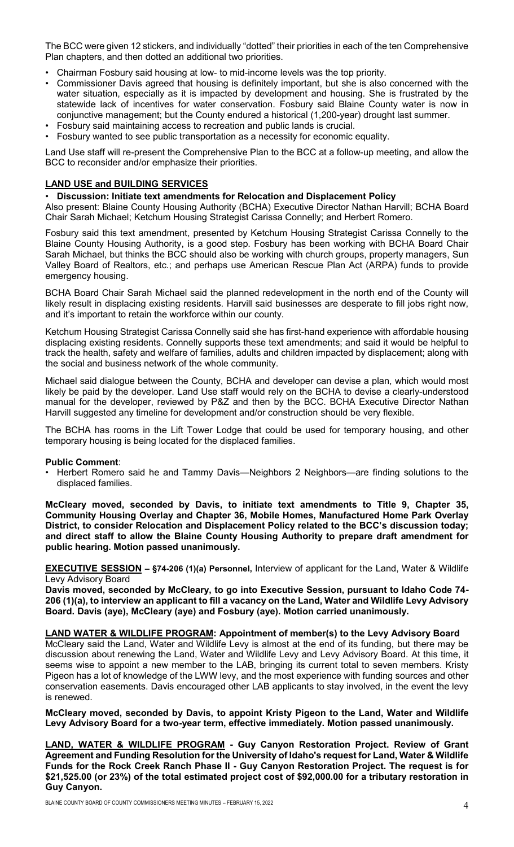The BCC were given 12 stickers, and individually "dotted" their priorities in each of the ten Comprehensive Plan chapters, and then dotted an additional two priorities.

- Chairman Fosbury said housing at low- to mid-income levels was the top priority.
- Commissioner Davis agreed that housing is definitely important, but she is also concerned with the water situation, especially as it is impacted by development and housing. She is frustrated by the statewide lack of incentives for water conservation. Fosbury said Blaine County water is now in conjunctive management; but the County endured a historical (1,200-year) drought last summer.
- Fosbury said maintaining access to recreation and public lands is crucial.
- Fosbury wanted to see public transportation as a necessity for economic equality.

Land Use staff will re-present the Comprehensive Plan to the BCC at a follow-up meeting, and allow the BCC to reconsider and/or emphasize their priorities.

## **LAND USE and BUILDING SERVICES**

#### • **Discussion: Initiate text amendments for Relocation and Displacement Policy**

Also present: Blaine County Housing Authority (BCHA) Executive Director Nathan Harvill; BCHA Board Chair Sarah Michael; Ketchum Housing Strategist Carissa Connelly; and Herbert Romero.

Fosbury said this text amendment, presented by Ketchum Housing Strategist Carissa Connelly to the Blaine County Housing Authority, is a good step. Fosbury has been working with BCHA Board Chair Sarah Michael, but thinks the BCC should also be working with church groups, property managers, Sun Valley Board of Realtors, etc.; and perhaps use American Rescue Plan Act (ARPA) funds to provide emergency housing.

BCHA Board Chair Sarah Michael said the planned redevelopment in the north end of the County will likely result in displacing existing residents. Harvill said businesses are desperate to fill jobs right now, and it's important to retain the workforce within our county.

Ketchum Housing Strategist Carissa Connelly said she has first-hand experience with affordable housing displacing existing residents. Connelly supports these text amendments; and said it would be helpful to track the health, safety and welfare of families, adults and children impacted by displacement; along with the social and business network of the whole community.

Michael said dialogue between the County, BCHA and developer can devise a plan, which would most likely be paid by the developer. Land Use staff would rely on the BCHA to devise a clearly-understood manual for the developer, reviewed by P&Z and then by the BCC. BCHA Executive Director Nathan Harvill suggested any timeline for development and/or construction should be very flexible.

The BCHA has rooms in the Lift Tower Lodge that could be used for temporary housing, and other temporary housing is being located for the displaced families.

#### **Public Comment**:

• Herbert Romero said he and Tammy Davis—Neighbors 2 Neighbors—are finding solutions to the displaced families.

**McCleary moved, seconded by Davis, to initiate text amendments to Title 9, Chapter 35, Community Housing Overlay and Chapter 36, Mobile Homes, Manufactured Home Park Overlay District, to consider Relocation and Displacement Policy related to the BCC's discussion today; and direct staff to allow the Blaine County Housing Authority to prepare draft amendment for public hearing. Motion passed unanimously.**

**EXECUTIVE SESSION – §74-206 (1)(a) Personnel,** Interview of applicant for the Land, Water & Wildlife Levy Advisory Board

**Davis moved, seconded by McCleary, to go into Executive Session, pursuant to Idaho Code 74- 206 (1)(a), to interview an applicant to fill a vacancy on the Land, Water and Wildlife Levy Advisory Board. Davis (aye), McCleary (aye) and Fosbury (aye). Motion carried unanimously.**

#### **LAND WATER & WILDLIFE PROGRAM: Appointment of member(s) to the Levy Advisory Board**

McCleary said the Land, Water and Wildlife Levy is almost at the end of its funding, but there may be discussion about renewing the Land, Water and Wildlife Levy and Levy Advisory Board. At this time, it seems wise to appoint a new member to the LAB, bringing its current total to seven members. Kristy Pigeon has a lot of knowledge of the LWW levy, and the most experience with funding sources and other conservation easements. Davis encouraged other LAB applicants to stay involved, in the event the levy is renewed.

**McCleary moved, seconded by Davis, to appoint Kristy Pigeon to the Land, Water and Wildlife Levy Advisory Board for a two-year term, effective immediately. Motion passed unanimously.**

**LAND, WATER & WILDLIFE PROGRAM - Guy Canyon Restoration Project. Review of Grant Agreement and Funding Resolution for the University of Idaho's request for Land, Water & Wildlife Funds for the Rock Creek Ranch Phase II - Guy Canyon Restoration Project. The request is for \$21,525.00 (or 23%) of the total estimated project cost of \$92,000.00 for a tributary restoration in Guy Canyon.**